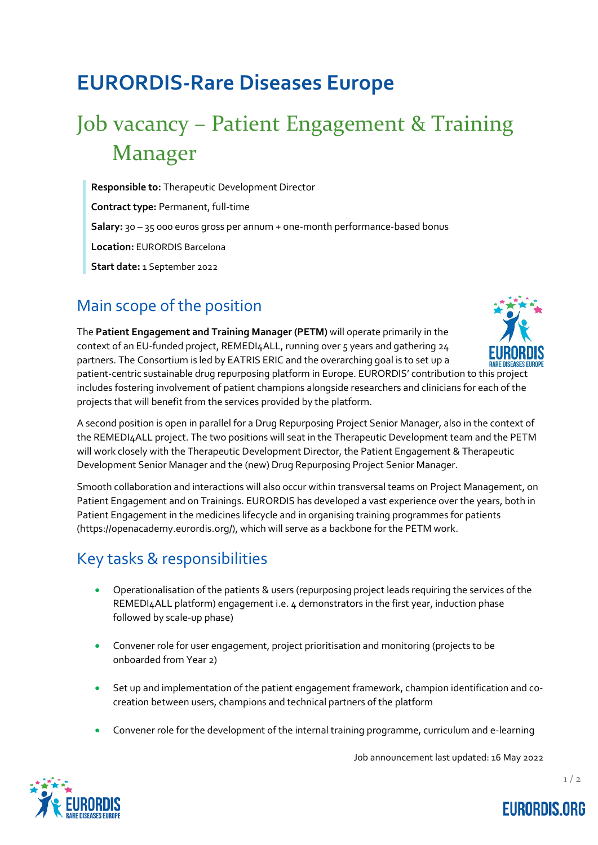# **EURORDIS-Rare Diseases Europe**

# Job vacancy – Patient Engagement & Training Manager

**Responsible to:** Therapeutic Development Director

**Contract type:** Permanent, full-time

**Salary:** 30 – 35 000 euros gross per annum + one-month performance-based bonus

**Location:** EURORDIS Barcelona

**Start date:** 1 September 2022

#### Main scope of the position

The **Patient Engagement and Training Manager (PETM)** will operate primarily in the context of an EU-funded project, REMEDI4ALL, running over 5 years and gathering 24 partners. The Consortium is led by EATRIS ERIC and the overarching goal is to set up a



patient-centric sustainable drug repurposing platform in Europe. EURORDIS' contribution to this project includes fostering involvement of patient champions alongside researchers and clinicians for each of the projects that will benefit from the services provided by the platform.

A second position is open in parallel for a Drug Repurposing Project Senior Manager, also in the context of the REMEDI4ALL project. The two positions will seat in the Therapeutic Development team and the PETM will work closely with the Therapeutic Development Director, the Patient Engagement & Therapeutic Development Senior Manager and the (new) Drug Repurposing Project Senior Manager.

Smooth collaboration and interactions will also occur within transversal teams on Project Management, on Patient Engagement and on Trainings. EURORDIS has developed a vast experience over the years, both in Patient Engagement in the medicines lifecycle and in organising training programmes for patients (https://openacademy.eurordis.org/), which will serve as a backbone for the PETM work.

# Key tasks & responsibilities

- Operationalisation of the patients & users (repurposing project leads requiring the services of the REMEDI4ALL platform) engagement i.e. 4 demonstrators in the first year, induction phase followed by scale-up phase)
- Convener role for user engagement, project prioritisation and monitoring (projects to be onboarded from Year 2)
- Set up and implementation of the patient engagement framework, champion identification and cocreation between users, champions and technical partners of the platform
- Convener role for the development of the internal training programme, curriculum and e-learning

Job announcement last updated: 16 May 2022